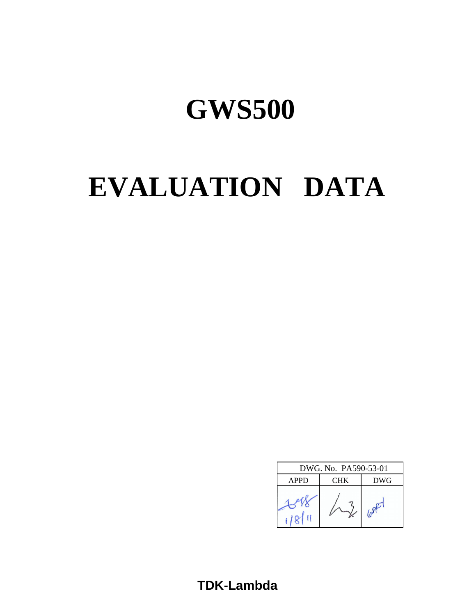# **EVALUATION DATA**

| DWG. No. PA590-53-01 |            |     |  |  |  |  |
|----------------------|------------|-----|--|--|--|--|
| <b>APPD</b>          | <b>DWG</b> |     |  |  |  |  |
|                      |            | 100 |  |  |  |  |

**TDK-Lambda**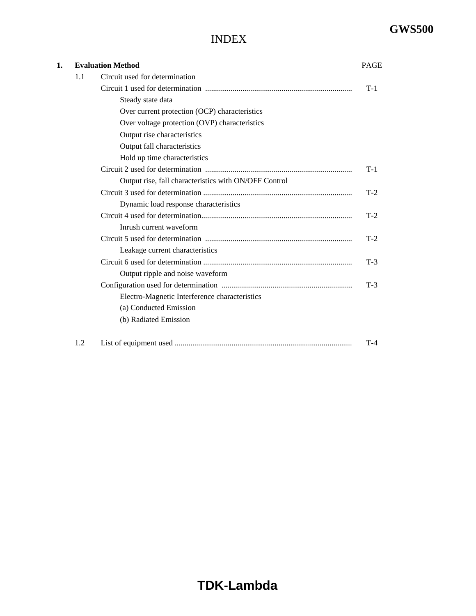## INDEX

| 1. |     | <b>Evaluation Method</b>                              | <b>PAGE</b> |  |
|----|-----|-------------------------------------------------------|-------------|--|
|    | 1.1 | Circuit used for determination                        |             |  |
|    |     |                                                       | $T-1$       |  |
|    |     | Steady state data                                     |             |  |
|    |     | Over current protection (OCP) characteristics         |             |  |
|    |     | Over voltage protection (OVP) characteristics         |             |  |
|    |     | Output rise characteristics                           |             |  |
|    |     | Output fall characteristics                           |             |  |
|    |     | Hold up time characteristics                          |             |  |
|    |     |                                                       | $T-1$       |  |
|    |     | Output rise, fall characteristics with ON/OFF Control |             |  |
|    |     |                                                       | $T-2$       |  |
|    |     | Dynamic load response characteristics                 |             |  |
|    |     |                                                       | $T-2$       |  |
|    |     | Inrush current waveform                               |             |  |
|    |     |                                                       | $T-2$       |  |
|    |     | Leakage current characteristics                       |             |  |
|    |     |                                                       | $T-3$       |  |
|    |     | Output ripple and noise waveform                      |             |  |
|    |     |                                                       | $T-3$       |  |
|    |     | Electro-Magnetic Interference characteristics         |             |  |
|    |     | (a) Conducted Emission                                |             |  |
|    |     | (b) Radiated Emission                                 |             |  |
|    | 1.2 |                                                       | $T-4$       |  |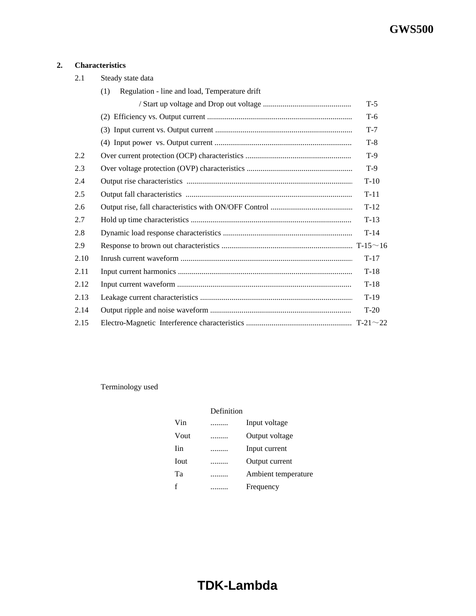## **2. Characteristics**

| 2.1  | Steady state data                                    |        |
|------|------------------------------------------------------|--------|
|      | Regulation - line and load, Temperature drift<br>(1) |        |
|      |                                                      | $T-5$  |
|      |                                                      | $T-6$  |
|      |                                                      | $T-7$  |
|      |                                                      | $T-8$  |
| 2.2  |                                                      | $T-9$  |
| 2.3  |                                                      | $T-9$  |
| 2.4  |                                                      | $T-10$ |
| 2.5  |                                                      | $T-11$ |
| 2.6  |                                                      | $T-12$ |
| 2.7  |                                                      | $T-13$ |
| 2.8  |                                                      | $T-14$ |
| 2.9  |                                                      |        |
| 2.10 |                                                      | $T-17$ |
| 2.11 |                                                      | $T-18$ |
| 2.12 |                                                      | $T-18$ |
| 2.13 |                                                      | $T-19$ |
| 2.14 |                                                      | $T-20$ |
| 2.15 |                                                      |        |

Terminology used

|      | Definition |                     |
|------|------------|---------------------|
| Vin  |            | Input voltage       |
| Vout | .          | Output voltage      |
| Iin  | .          | Input current       |
| Iout |            | Output current      |
| Tа   |            | Ambient temperature |
| f    |            | Frequency           |

# **TDK-Lambda**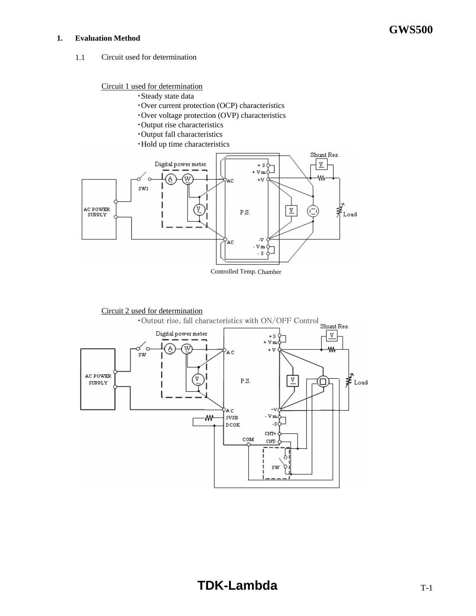#### **1. Evaluation Method**

1.1 Circuit used for determination

## Circuit 1 used for determination

- ・Steady state data
- ・Over current protection (OCP) characteristics
- ・Over voltage protection (OVP) characteristics
- ・Output rise characteristics
- ・Output fall characteristics
- ・Hold up time characteristics



Controlled Temp. Chamber

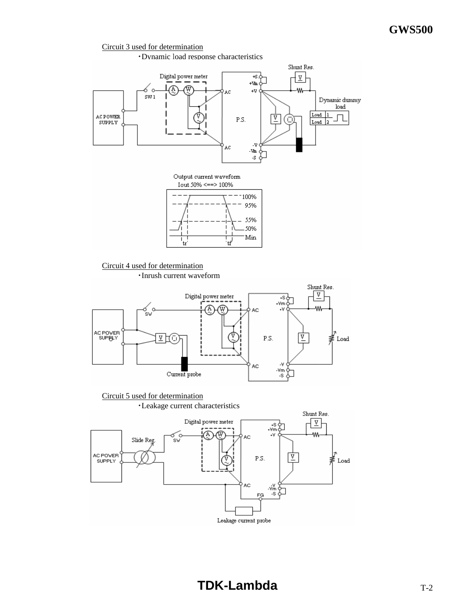#### Circuit 3 used for determination

・Dynamic load response characteristics

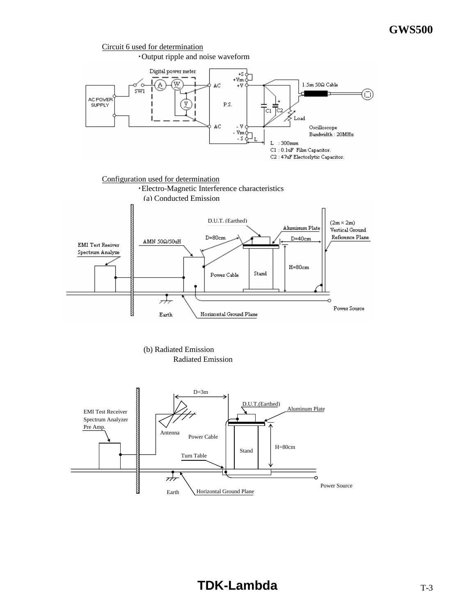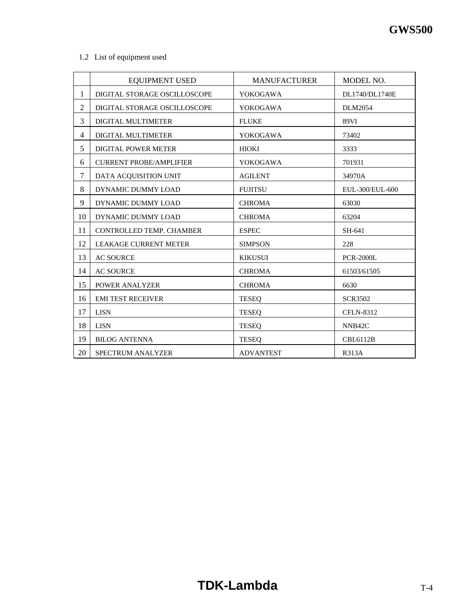## 1.2 List of equipment used

|                | <b>EQUIPMENT USED</b>          | <b>MANUFACTURER</b> | MODEL NO.           |
|----------------|--------------------------------|---------------------|---------------------|
| 1              | DIGITAL STORAGE OSCILLOSCOPE   | YOKOGAWA            | DL1740/DL1740E      |
| $\overline{c}$ | DIGITAL STORAGE OSCILLOSCOPE   | YOKOGAWA            | <b>DLM2054</b>      |
| 3              | DIGITAL MULTIMETER             | <b>FLUKE</b>        | 89VI                |
| $\overline{4}$ | DIGITAL MULTIMETER             | <b>YOKOGAWA</b>     | 73402               |
| 5              | <b>DIGITAL POWER METER</b>     | <b>HIOKI</b>        | 3333                |
| 6              | <b>CURRENT PROBE/AMPLIFIER</b> | <b>YOKOGAWA</b>     | 701931              |
| $\tau$         | DATA ACQUISITION UNIT          | <b>AGILENT</b>      | 34970A              |
| 8              | DYNAMIC DUMMY LOAD             | <b>FUJITSU</b>      | EUL-300/EUL-600     |
| 9              | DYNAMIC DUMMY LOAD             | <b>CHROMA</b>       | 63030               |
| 10             | DYNAMIC DUMMY LOAD             | <b>CHROMA</b>       | 63204               |
| 11             | CONTROLLED TEMP. CHAMBER       | <b>ESPEC</b>        | SH-641              |
| 12             | <b>LEAKAGE CURRENT METER</b>   | <b>SIMPSON</b>      | 228                 |
| 13             | <b>AC SOURCE</b>               | <b>KIKUSUI</b>      | <b>PCR-2000L</b>    |
| 14             | <b>AC SOURCE</b>               | <b>CHROMA</b>       | 61503/61505         |
| 15             | POWER ANALYZER                 | <b>CHROMA</b>       | 6630                |
| 16             | <b>EMI TEST RECEIVER</b>       | <b>TESEO</b>        | <b>SCR3502</b>      |
| 17             | <b>LISN</b>                    | <b>TESEO</b>        | <b>CFLN-8312</b>    |
| 18             | <b>LISN</b>                    | <b>TESEQ</b>        | NNB <sub>42</sub> C |
| 19             | <b>BILOG ANTENNA</b>           | <b>TESEQ</b>        | <b>CBL6112B</b>     |
| 20             | <b>SPECTRUM ANALYZER</b>       | <b>ADVANTEST</b>    | <b>R313A</b>        |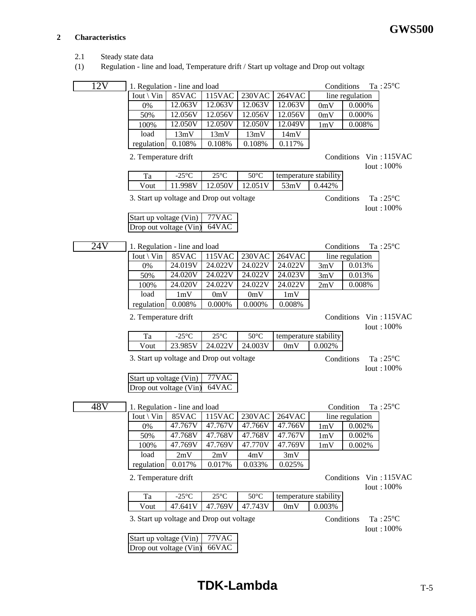#### **2 Characteristics**

- 2.1 Steady state data
- (1) Regulation line and load, Temperature drift / Start up voltage and Drop out voltage

| 12V | 1. Regulation - line and load            |                 |                 |                       |                       |                       | Conditions             | $Ta:25^{\circ}C$                        |
|-----|------------------------------------------|-----------------|-----------------|-----------------------|-----------------------|-----------------------|------------------------|-----------------------------------------|
|     | Iout \ Vin                               | 85VAC           | 115VAC          | 230VAC                | 264VAC                |                       | line regulation        |                                         |
|     | 0%                                       | 12.063V         | 12.063V         | 12.063V               | 12.063V               | 0mV                   | 0.000%                 |                                         |
|     | 50%                                      | 12.056V         | 12.056V         | 12.056V               | 12.056V               | 0mV                   | 0.000%                 |                                         |
|     | 100%                                     | 12.050V         | 12.050V         | 12.050V               | 12.049V               | 1mV                   | 0.008%                 |                                         |
|     | load                                     | 13mV            | 13mV            | 13mV                  | 14mV                  |                       |                        |                                         |
|     | regulation                               | 0.108%          | 0.108%          | 0.108%                | 0.117%                |                       |                        |                                         |
|     | 2. Temperature drift                     |                 |                 |                       |                       |                       | Conditions Vin: 115VAC | <b>Iout: 100%</b>                       |
|     | Ta                                       | $-25^{\circ}$ C | $25^{\circ}$ C  | $50^{\circ}$ C        |                       | temperature stability |                        |                                         |
|     | Vout                                     | 11.998V         | 12.050V         | 12.051V               | 53mV                  | 0.442%                |                        |                                         |
|     | 3. Start up voltage and Drop out voltage |                 |                 |                       |                       |                       | Conditions             | Ta: $25^{\circ}$ C<br>Iout: 100%        |
|     | Start up voltage (Vin)                   |                 | 77VAC           |                       |                       |                       |                        |                                         |
|     | Drop out voltage (Vin)                   |                 | 64VAC           |                       |                       |                       |                        |                                         |
|     |                                          |                 |                 |                       |                       |                       |                        |                                         |
| 24V | 1. Regulation - line and load            |                 |                 |                       |                       |                       | Conditions             | Ta: $25^{\circ}$ C                      |
|     | Iout \ Vin                               | $85$ VAC        | 115VAC          | 230VAC                | 264VAC                |                       | line regulation        |                                         |
|     | 0%                                       | 24.019V         | 24.022V         | 24.022V               | 24.022V               | 3mV                   | 0.013%                 |                                         |
|     | 50%                                      | 24.020V         | 24.022V         | 24.022V               | 24.023V               | 3mV                   | 0.013%                 |                                         |
|     | 100%                                     | 24.020V         | 24.022V         | 24.022V               | 24.022V               | 2mV                   | 0.008%                 |                                         |
|     | load                                     | 1mV             | 0mV             | 0mV                   | 1mV                   |                       |                        |                                         |
|     | regulation                               | 0.008%          | 0.000%          | $0.000\%$             | 0.008%                |                       |                        |                                         |
|     | 2. Temperature drift                     |                 |                 |                       |                       |                       | Conditions             | $V$ in: 115VAC<br>Iout: 100%            |
|     | Ta                                       | $-25^{\circ}$ C | $25^{\circ}$ C  | $50^{\circ}$ C        | temperature stability |                       |                        |                                         |
|     | Vout                                     | 23.985V         | 24.022V         | 24.003V               | 0mV                   | $0.002\%$             |                        |                                         |
|     | 3. Start up voltage and Drop out voltage |                 |                 |                       |                       |                       | Conditions             | Ta: $25^{\circ}$ C<br><b>Iout: 100%</b> |
|     | Start up voltage (Vin)                   |                 | 77VAC           |                       |                       |                       |                        |                                         |
|     | Drop out voltage (Vin)                   |                 | 64VAC           |                       |                       |                       |                        |                                         |
|     |                                          |                 |                 |                       |                       |                       |                        |                                         |
| 48V | 1. Regulation - line and load            |                 |                 |                       |                       |                       | Condition              | Ta: $25^{\circ}$ C                      |
|     | $Iout \setminus Vin$                     | 85VAC           | 115VAC          | 230VAC                | 264VAC                |                       | line regulation        |                                         |
|     | $0\%$                                    |                 | 47.767V 47.767V | 47.766V               | 47.766V               |                       | $1 \text{mV}$ 0.002%   |                                         |
|     | 50%                                      | 47.768V         | 47.768V         | 47.768V               | 47.767V               | 1mV                   | 0.002%                 |                                         |
|     | 100%                                     | 47.769V         | 47.769V         | 47.770V               | 47.769V               | 1mV                   | 0.002%                 |                                         |
|     | load                                     | 2mV             | 2mV             | 4mV                   | 3mV                   |                       |                        |                                         |
|     | regulation                               | 0.017%          | 0.017%          | 0.033%                | 0.025%                |                       |                        |                                         |
|     | 2. Temperature drift                     |                 |                 |                       |                       |                       | Conditions             | Vin: 115VAC<br><b>Iout: 100%</b>        |
|     | Ta                                       | $-25^{\circ}$ C | $25^{\circ}$ C  | $50^{\circ} \text{C}$ | temperature stability |                       |                        |                                         |
|     | Vout                                     | 47.641V         | 47.769V         | 47.743V               | 0mV                   | 0.003%                |                        |                                         |
|     | 3. Start up voltage and Drop out voltage |                 |                 |                       |                       |                       | Conditions             | Ta: $25^{\circ}$ C<br>Iout: 100%        |
|     | Start up voltage (Vin)                   |                 | 77VAC           |                       |                       |                       |                        |                                         |
|     | Drop out voltage (Vin)                   |                 | 66VAC           |                       |                       |                       |                        |                                         |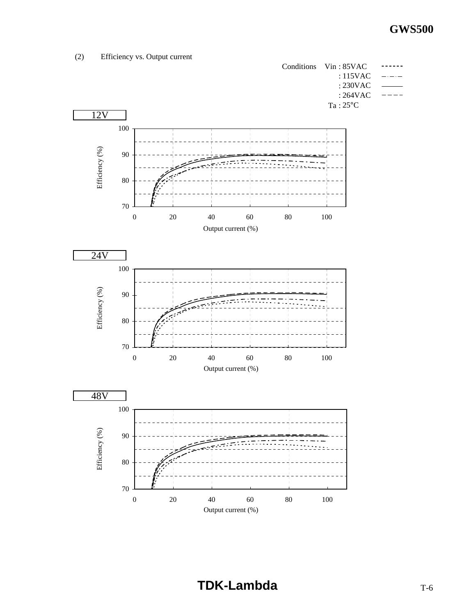(2) Efficiency vs. Output current

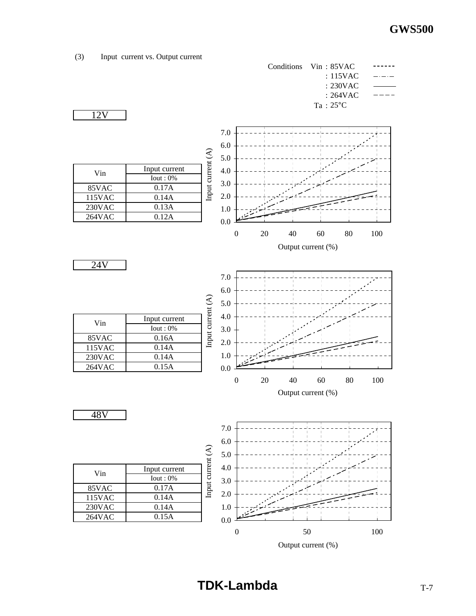

Output current (%)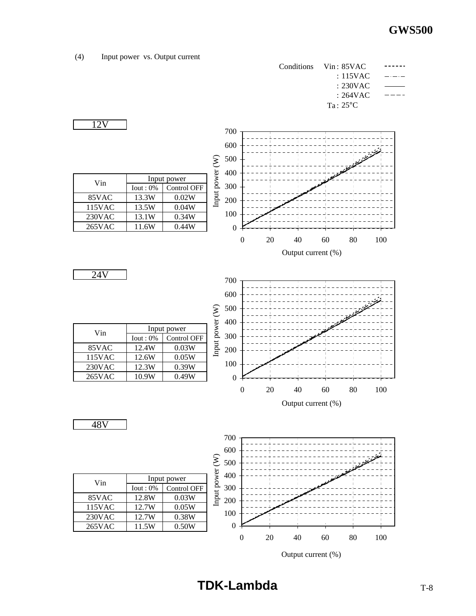## (4) Input power vs. Output current

12V

Vin

24V



| Vin    | Input power     |             |  |
|--------|-----------------|-------------|--|
|        | $I$ out : $0\%$ | Control OFF |  |
| 85VAC  | 12.4W           | 0.03W       |  |
| 115VAC | 12.6W           | 0.05W       |  |
| 230VAC | 12.3W           | 0.39W       |  |
| 265VAC | 10.9W           | 0.49W       |  |





0 20 40 60 80 100 Output current (%)

| Vin    | Input power     |                    |  |
|--------|-----------------|--------------------|--|
|        | $I$ out : $0\%$ | <b>Control OFF</b> |  |
| 85VAC  | 12.8W           | 0.03W              |  |
| 115VAC | 12.7W           | 0.05W              |  |
| 230VAC | 12.7W           | 0.38W              |  |
| 265VAC | 11.5W           | 0.50W              |  |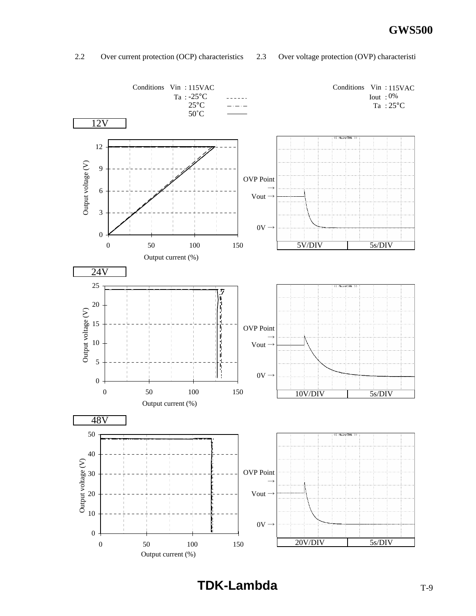### 2.2 Over current protection (OCP) characteristics 2.3 Over voltage protection (OVP) characteristi

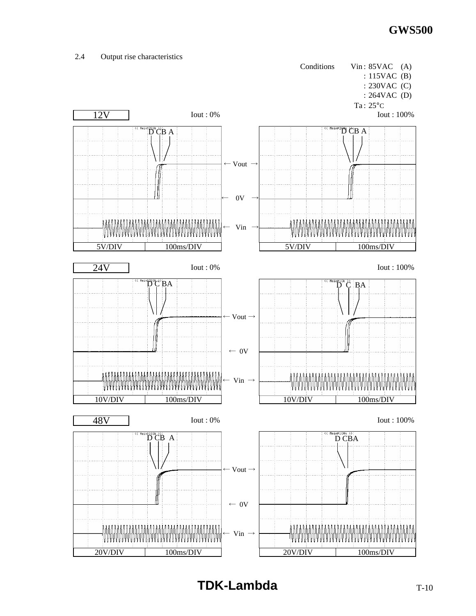

# 2.4 Output rise characteristics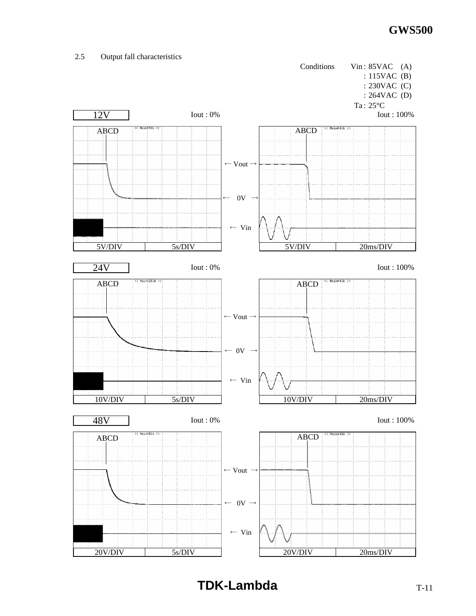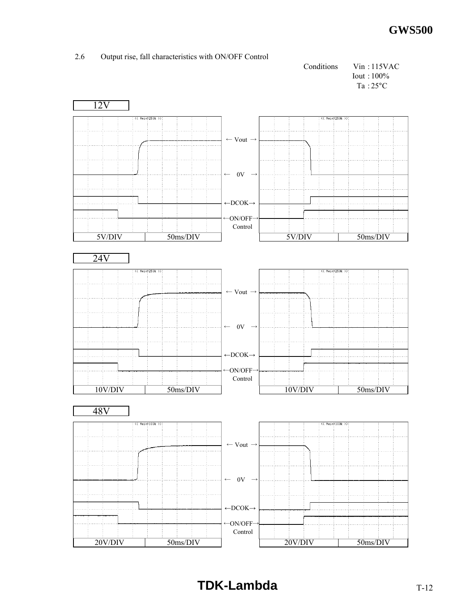



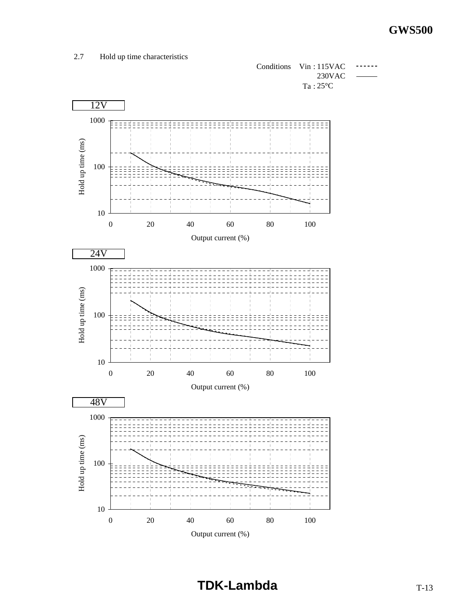## 2.7 Hold up time characteristics



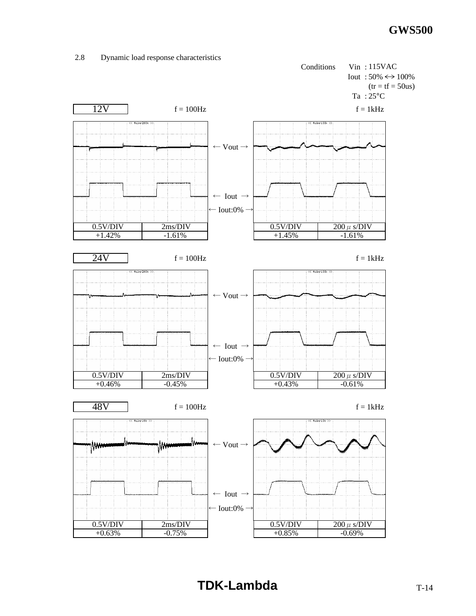

#### 2.8 Dynamic load response characteristics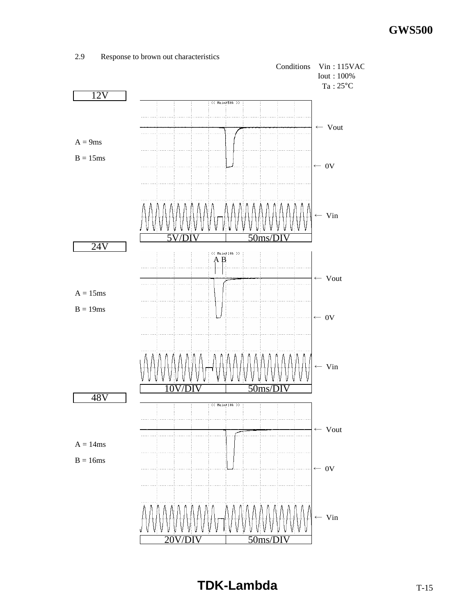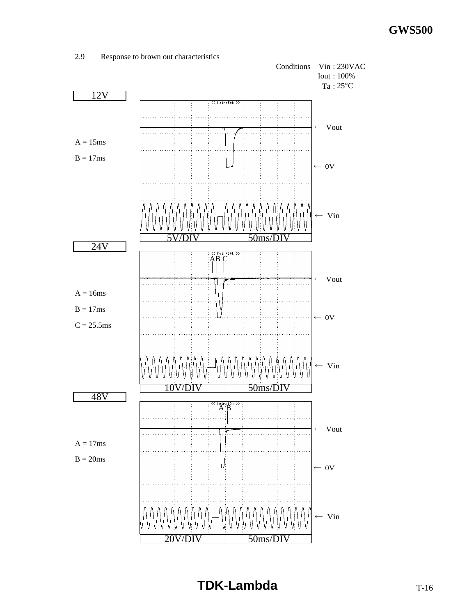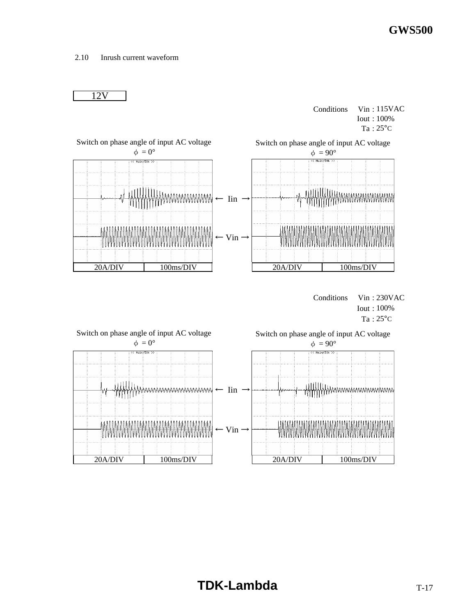2.10 Inrush current waveform



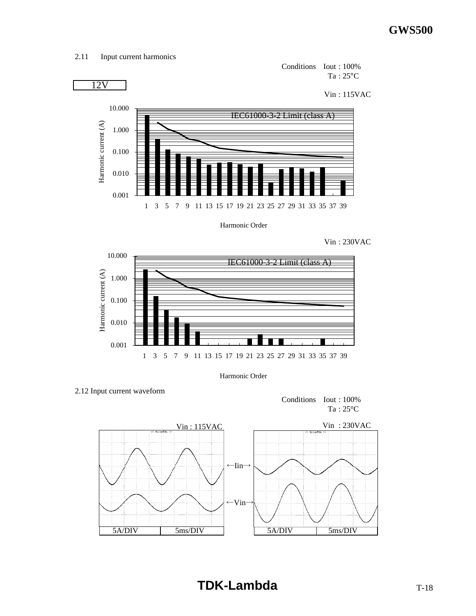2.11 Input current harmonics



Harmonic Order





Harmonic Order

2.12 Input current waveform

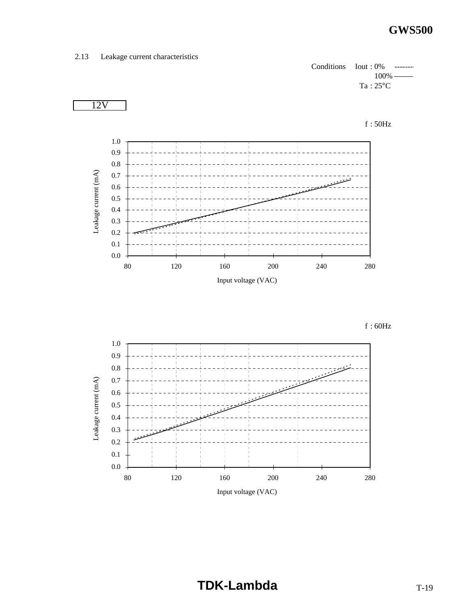## 2.13 Leakage current characteristics



 $f : 60Hz$ 

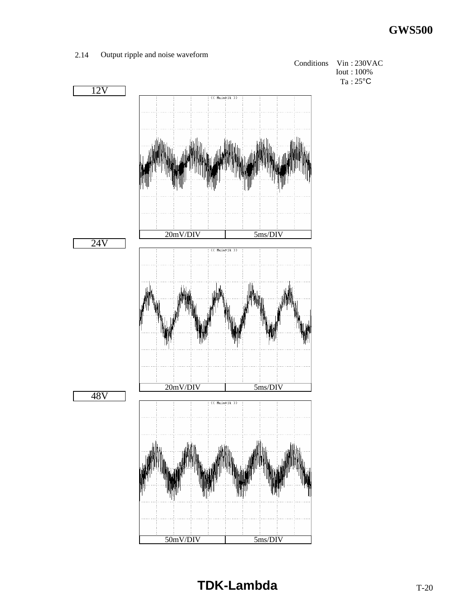

#### 2.14 Output ripple and noise waveform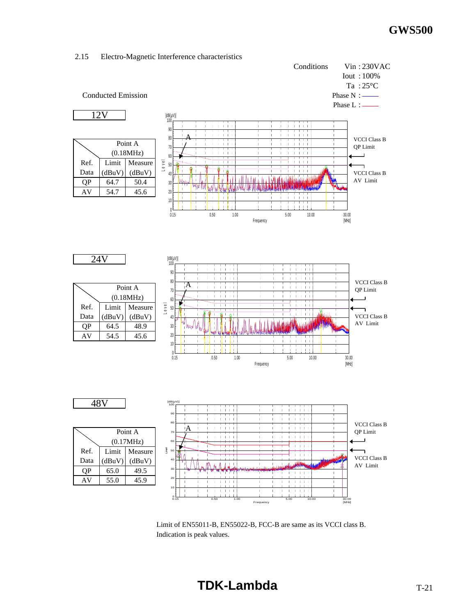

2.15 Electro-Magnetic Interference characteristics

Limit of EN55011-B, EN55022-B, FCC-B are same as its VCCI class B. Indication is peak values.